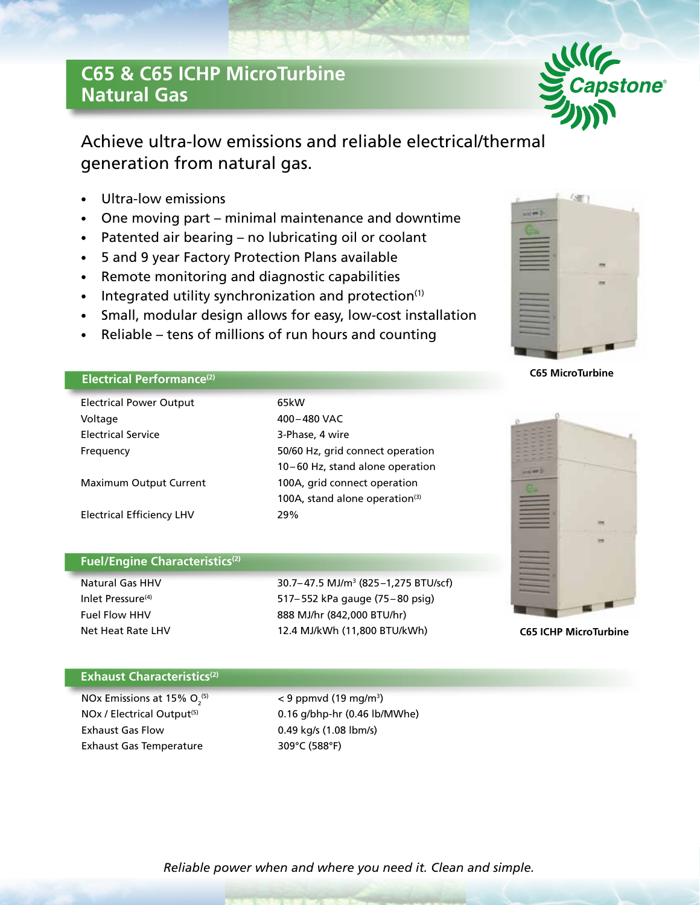# **C65 & C65 ICHP MicroTurbine Natural Gas**



Achieve ultra-low emissions and reliable electrical/thermal generation from natural gas.

- Ultra-low emissions
- One moving part minimal maintenance and downtime
- Patented air bearing no lubricating oil or coolant
- 5 and 9 year Factory Protection Plans available
- Remote monitoring and diagnostic capabilities
- Integrated utility synchronization and protection $(1)$
- Small, modular design allows for easy, low-cost installation
- Reliable tens of millions of run hours and counting

## **Electrical Performance(2)**

| <b>Electrical Power Output</b>   | 65kW                              |  |
|----------------------------------|-----------------------------------|--|
| Voltage                          | 400-480 VAC                       |  |
| <b>Electrical Service</b>        | 3-Phase, 4 wire                   |  |
| Frequency                        | 50/60 Hz, grid connect operation  |  |
|                                  | 10-60 Hz, stand alone operation   |  |
| <b>Maximum Output Current</b>    | 100A, grid connect operation      |  |
|                                  | 100A, stand alone operation $(3)$ |  |
| <b>Electrical Efficiency LHV</b> | 29%                               |  |

## **Fuel/Engine Characteristics(2)**

Natural Gas HHV 30.7–47.5 MJ/m<sup>3</sup> (825–1,275 BTU/scf) Inlet Pressure<sup>(4)</sup> 517–552 kPa gauge (75–80 psig) Fuel Flow HHV 888 MJ/hr (842,000 BTU/hr) Net Heat Rate LHV 12.4 MJ/kWh (11,800 BTU/kWh)



**C65 MicroTurbine**



**C65 ICHP MicroTurbine**

#### **Exhaust Characteristics<sup>(2)</sup>**

NOx Emissions at 15%  $O<sub>2</sub><sup>(5)</sup>$ Exhaust Gas Flow 0.49 kg/s (1.08 lbm/s) Exhaust Gas Temperature 309°C (588°F)

 $(5)$  < 9 ppmvd (19 mg/m<sup>3</sup>) NOx / Electrical Output<sup>(5)</sup> 0.16 g/bhp-hr (0.46 lb/MWhe)

*Reliable power when and where you need it. Clean and simple.*